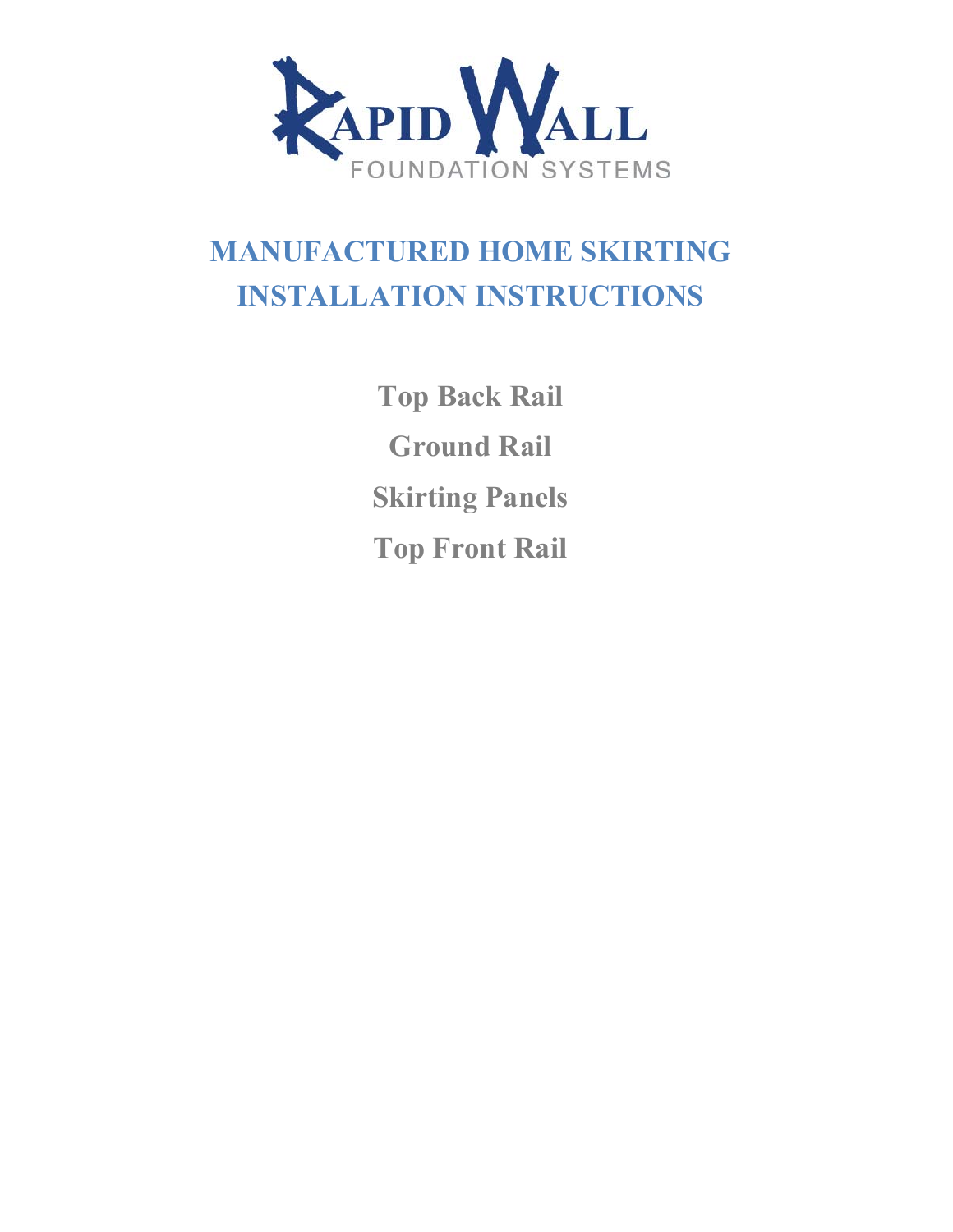

# **MANUFACTURED HOME SKIRTING INSTALLATION INSTRUCTIONS**

**Top Back Rail Ground Rail Skirting Panels Top Front Rail**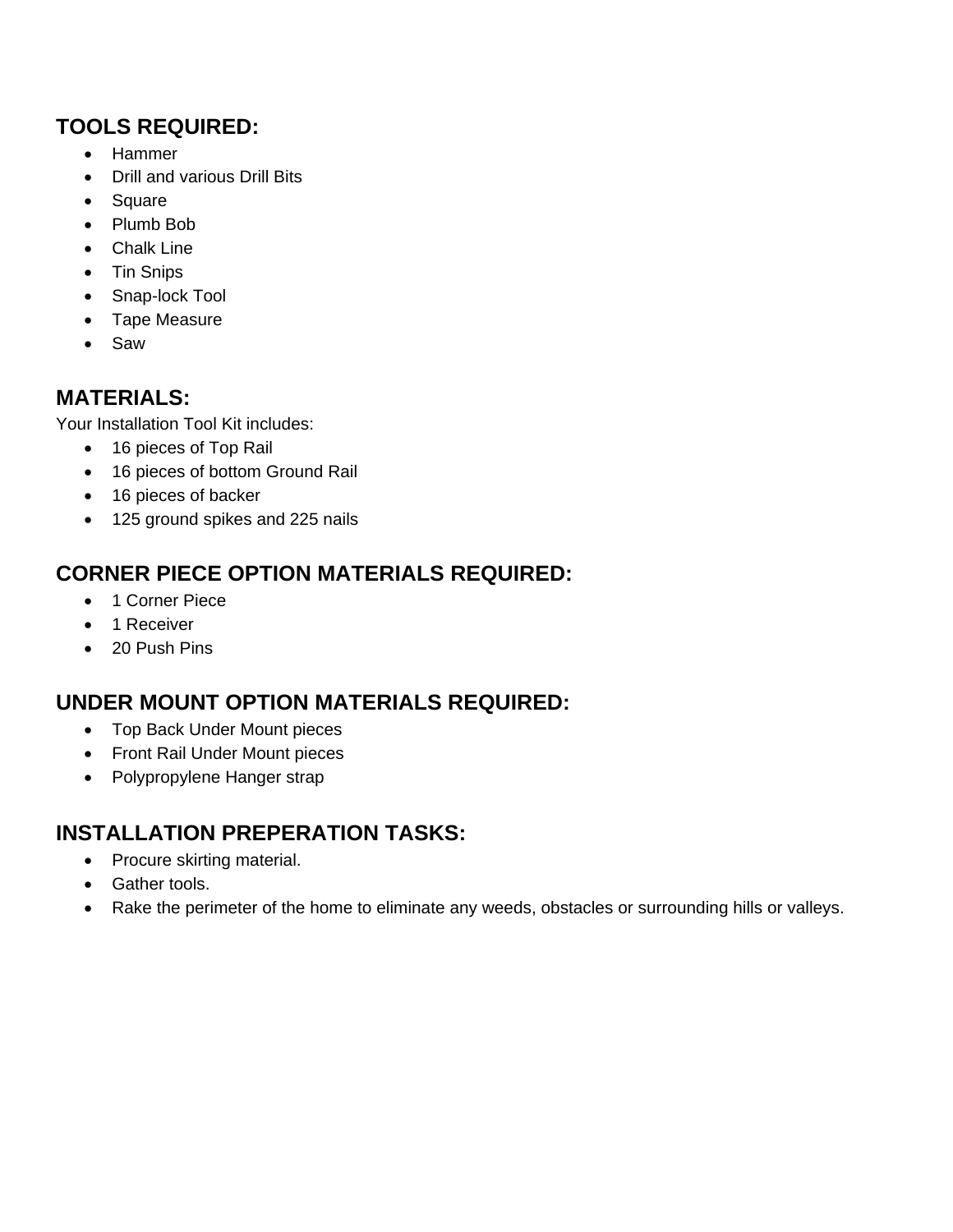#### **TOOLS REQUIRED:**

- Hammer
- Drill and various Drill Bits
- Square
- Plumb Bob
- Chalk Line
- Tin Snips
- Snap-lock Tool
- Tape Measure
- Saw

#### **MATERIALS:**

Your Installation Tool Kit includes:

- 16 pieces of Top Rail
- 16 pieces of bottom Ground Rail
- 16 pieces of backer
- 125 ground spikes and 225 nails

### **CORNER PIECE OPTION MATERIALS REQUIRED:**

- 1 Corner Piece
- 1 Receiver
- 20 Push Pins

### **UNDER MOUNT OPTION MATERIALS REQUIRED:**

- Top Back Under Mount pieces
- Front Rail Under Mount pieces
- Polypropylene Hanger strap

### **INSTALLATION PREPERATION TASKS:**

- Procure skirting material.
- Gather tools.
- Rake the perimeter of the home to eliminate any weeds, obstacles or surrounding hills or valleys.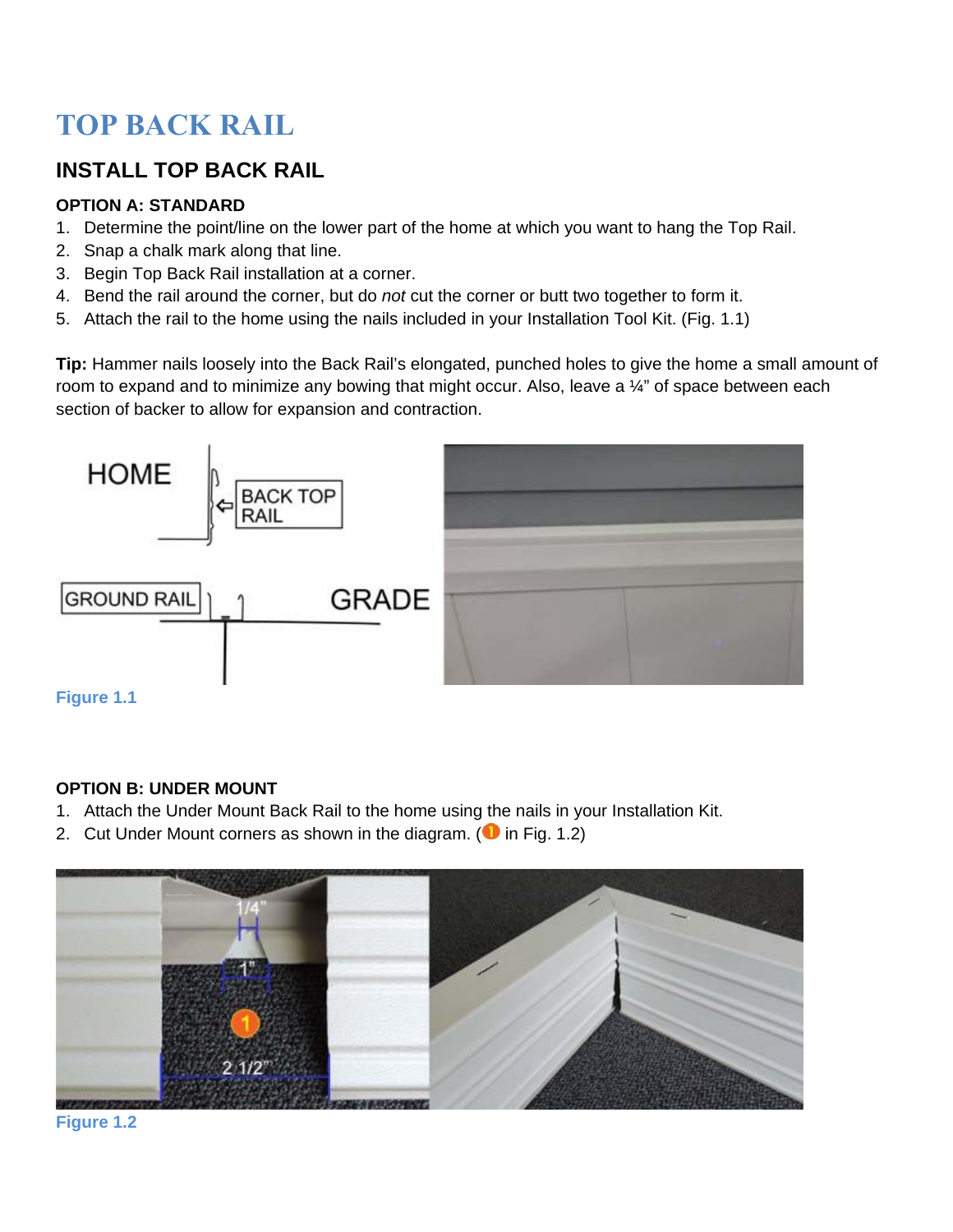# **TOP BACK RAIL**

### **INSTALL TOP BACK RAIL**

#### **OPTION A: STANDARD**

- 1. Determine the point/line on the lower part of the home at which you want to hang the Top Rail.
- 2. Snap a chalk mark along that line.
- 3. Begin Top Back Rail installation at a corner.
- 4. Bend the rail around the corner, but do *not* cut the corner or butt two together to form it.
- 5. Attach the rail to the home using the nails included in your Installation Tool Kit. (Fig. 1.1)

**Tip:** Hammer nails loosely into the Back Rail's elongated, punched holes to give the home a small amount of room to expand and to minimize any bowing that might occur. Also, leave a 1/4" of space between each section of backer to allow for expansion and contraction.



#### **OPTION B: UNDER MOUNT**

- 1. Attach the Under Mount Back Rail to the home using the nails in your Installation Kit.
- 2. Cut Under Mount corners as shown in the diagram. ( $\bullet$  in Fig. 1.2)



**Figure 1.2**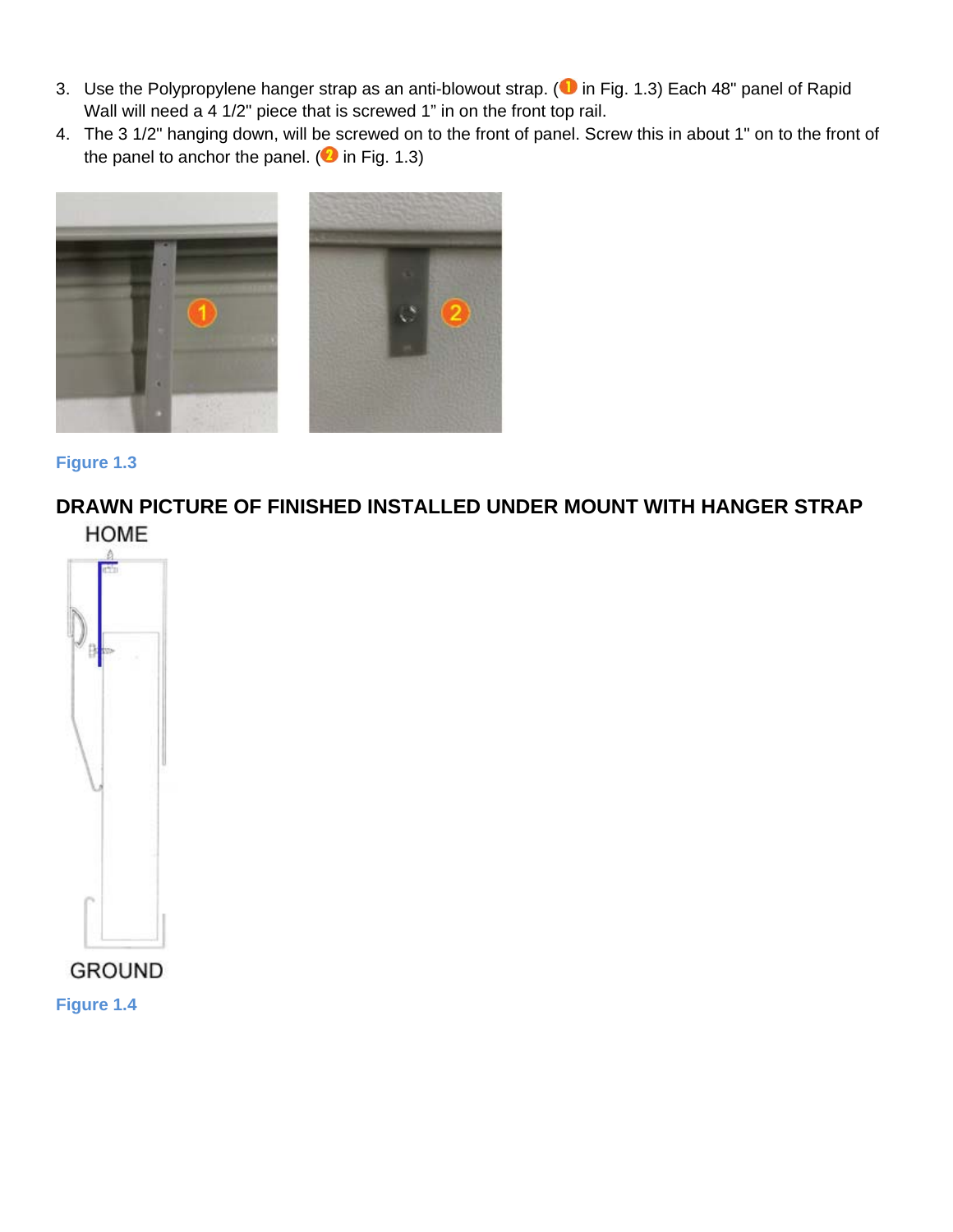- 3. Use the Polypropylene hanger strap as an anti-blowout strap. ( $\bullet$  in Fig. 1.3) Each 48" panel of Rapid Wall will need a 4 1/2" piece that is screwed 1" in on the front top rail.
- 4. The 3 1/2" hanging down, will be screwed on to the front of panel. Screw this in about 1" on to the front of the panel to anchor the panel. ( $\bullet$  in Fig. 1.3)



#### **Figure 1.3**

**DRAWN PICTURE OF FINISHED INSTALLED UNDER MOUNT WITH HANGER STRAP HOME** 



**Figure 1.4**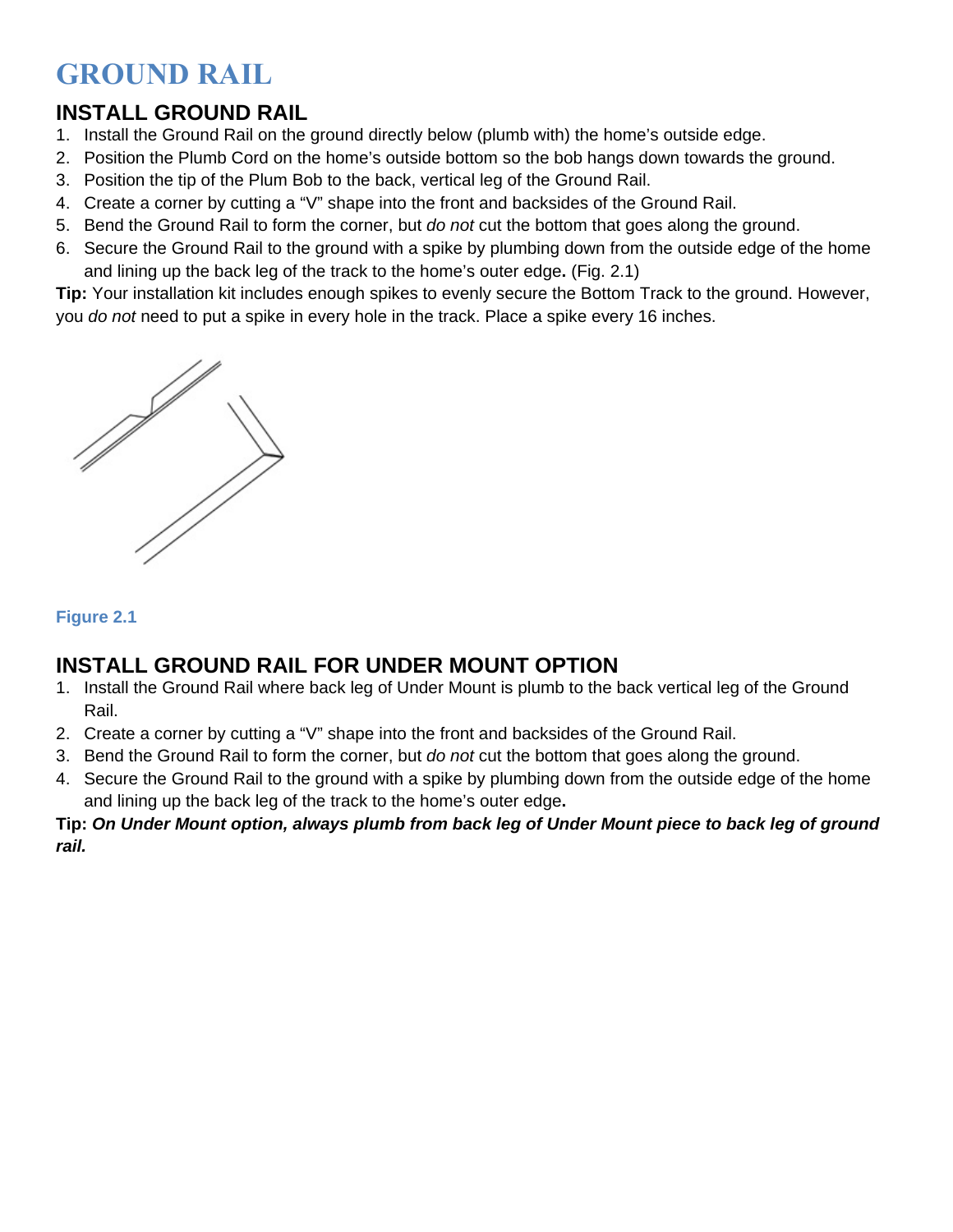# **GROUND RAIL**

### **INSTALL GROUND RAIL**

- 1. Install the Ground Rail on the ground directly below (plumb with) the home's outside edge.
- 2. Position the Plumb Cord on the home's outside bottom so the bob hangs down towards the ground.
- 3. Position the tip of the Plum Bob to the back, vertical leg of the Ground Rail.
- 4. Create a corner by cutting a "V" shape into the front and backsides of the Ground Rail.
- 5. Bend the Ground Rail to form the corner, but *do not* cut the bottom that goes along the ground.
- 6. Secure the Ground Rail to the ground with a spike by plumbing down from the outside edge of the home and lining up the back leg of the track to the home's outer edge**.** (Fig. 2.1)

**Tip:** Your installation kit includes enough spikes to evenly secure the Bottom Track to the ground. However, you *do not* need to put a spike in every hole in the track. Place a spike every 16 inches.



#### **Figure 2.1**

#### **INSTALL GROUND RAIL FOR UNDER MOUNT OPTION**

- 1. Install the Ground Rail where back leg of Under Mount is plumb to the back vertical leg of the Ground Rail.
- 2. Create a corner by cutting a "V" shape into the front and backsides of the Ground Rail.
- 3. Bend the Ground Rail to form the corner, but *do not* cut the bottom that goes along the ground.
- 4. Secure the Ground Rail to the ground with a spike by plumbing down from the outside edge of the home and lining up the back leg of the track to the home's outer edge**.**

#### **Tip:** *On Under Mount option, always plumb from back leg of Under Mount piece to back leg of ground rail.*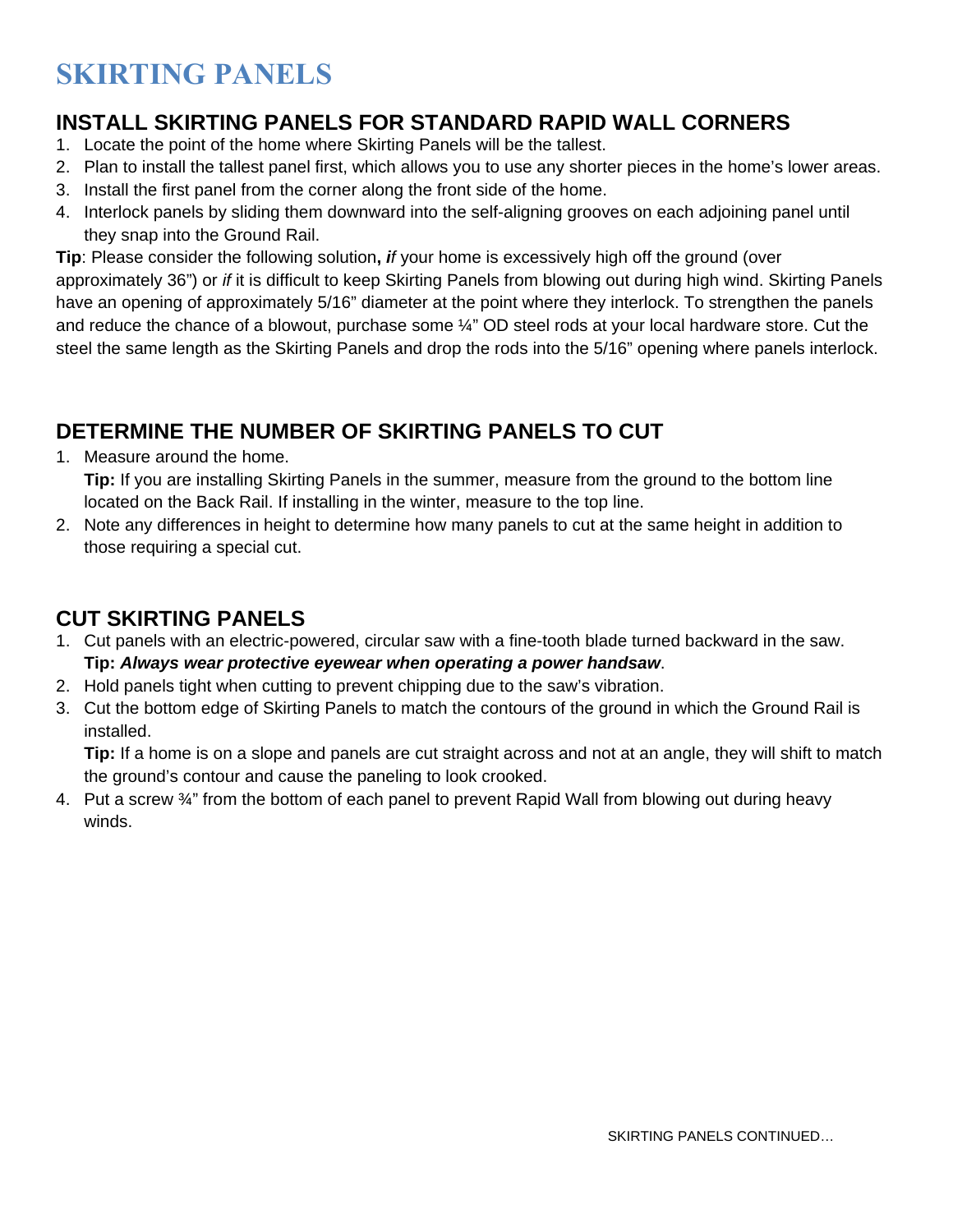# **SKIRTING PANELS**

#### **INSTALL SKIRTING PANELS FOR STANDARD RAPID WALL CORNERS**

- 1. Locate the point of the home where Skirting Panels will be the tallest.
- 2. Plan to install the tallest panel first, which allows you to use any shorter pieces in the home's lower areas.
- 3. Install the first panel from the corner along the front side of the home.
- 4. Interlock panels by sliding them downward into the self-aligning grooves on each adjoining panel until they snap into the Ground Rail.

**Tip**: Please consider the following solution**,** *if* your home is excessively high off the ground (over approximately 36") or *if* it is difficult to keep Skirting Panels from blowing out during high wind. Skirting Panels have an opening of approximately 5/16" diameter at the point where they interlock. To strengthen the panels and reduce the chance of a blowout, purchase some ¼" OD steel rods at your local hardware store. Cut the steel the same length as the Skirting Panels and drop the rods into the 5/16" opening where panels interlock.

### **DETERMINE THE NUMBER OF SKIRTING PANELS TO CUT**

1. Measure around the home.

**Tip:** If you are installing Skirting Panels in the summer, measure from the ground to the bottom line located on the Back Rail. If installing in the winter, measure to the top line.

2. Note any differences in height to determine how many panels to cut at the same height in addition to those requiring a special cut.

#### **CUT SKIRTING PANELS**

- 1. Cut panels with an electric-powered, circular saw with a fine-tooth blade turned backward in the saw. **Tip:** *Always wear protective eyewear when operating a power handsaw*.
- 2. Hold panels tight when cutting to prevent chipping due to the saw's vibration.
- 3. Cut the bottom edge of Skirting Panels to match the contours of the ground in which the Ground Rail is installed.

**Tip:** If a home is on a slope and panels are cut straight across and not at an angle, they will shift to match the ground's contour and cause the paneling to look crooked.

4. Put a screw  $\frac{3}{4}$ " from the bottom of each panel to prevent Rapid Wall from blowing out during heavy winds.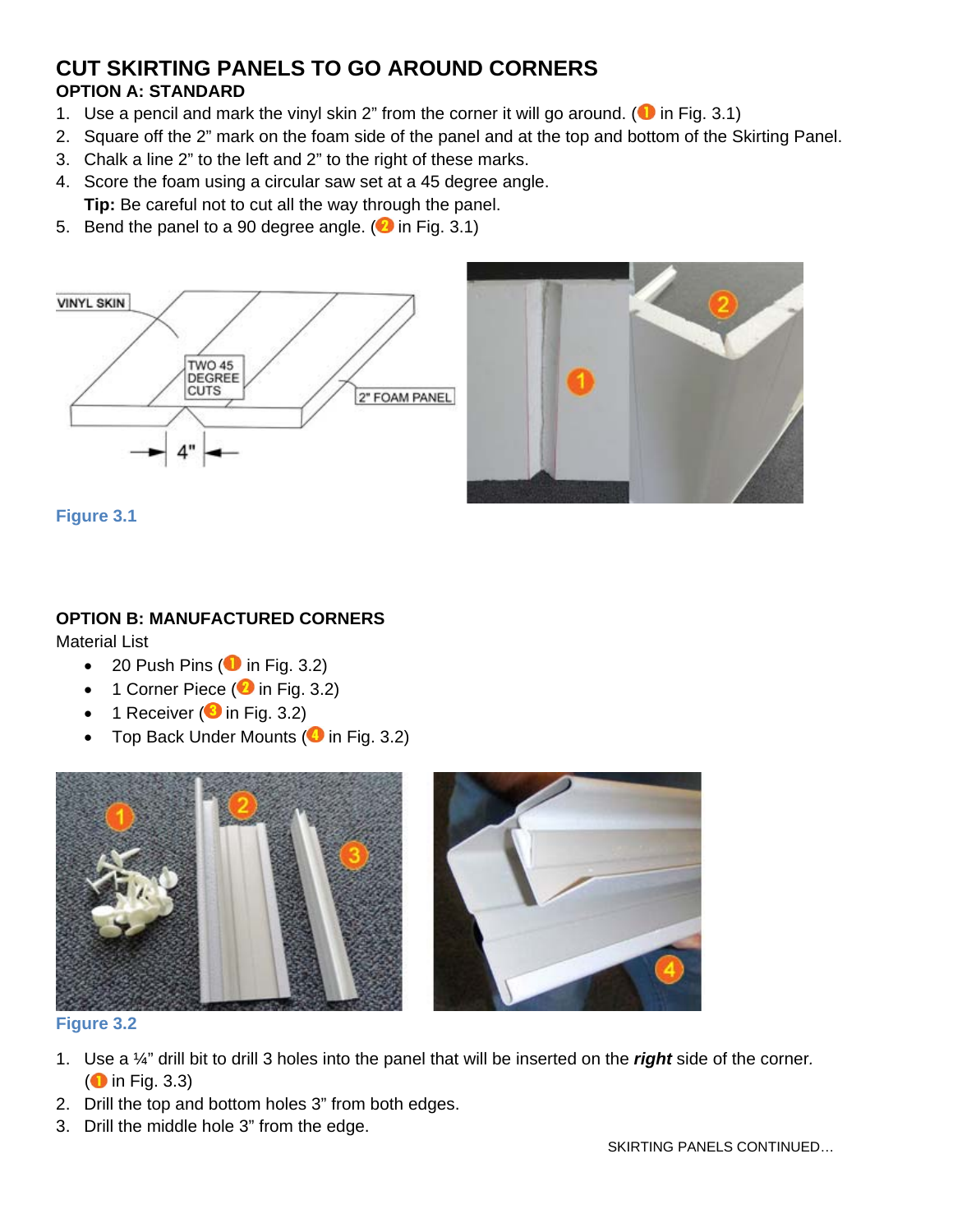#### **CUT SKIRTING PANELS TO GO AROUND CORNERS OPTION A: STANDARD**

- 1. Use a pencil and mark the vinyl skin 2" from the corner it will go around. ( $\bullet$  in Fig. 3.1)
- 2. Square off the 2" mark on the foam side of the panel and at the top and bottom of the Skirting Panel.
- 3. Chalk a line 2" to the left and 2" to the right of these marks.
- 4. Score the foam using a circular saw set at a 45 degree angle. **Tip:** Be careful not to cut all the way through the panel.
- 5. Bend the panel to a 90 degree angle. ( $\bullet$  in Fig. 3.1)





**Figure 3.1** 

#### **OPTION B: MANUFACTURED CORNERS**

Material List

- 20 Push Pins ( $\bullet$  in Fig. 3.2)
- 1 Corner Piece ( $\bullet$  in Fig. 3.2)
- 1 Receiver ( $\bullet$  in Fig. 3.2)
- Top Back Under Mounts ( $\bullet$  in Fig. 3.2)





**Figure 3.2** 

- 1. Use a ¼" drill bit to drill 3 holes into the panel that will be inserted on the *right* side of the corner*.*  $\left( \bullet \right)$  in Fig. 3.3)
- 2. Drill the top and bottom holes 3" from both edges.
- 3. Drill the middle hole 3" from the edge.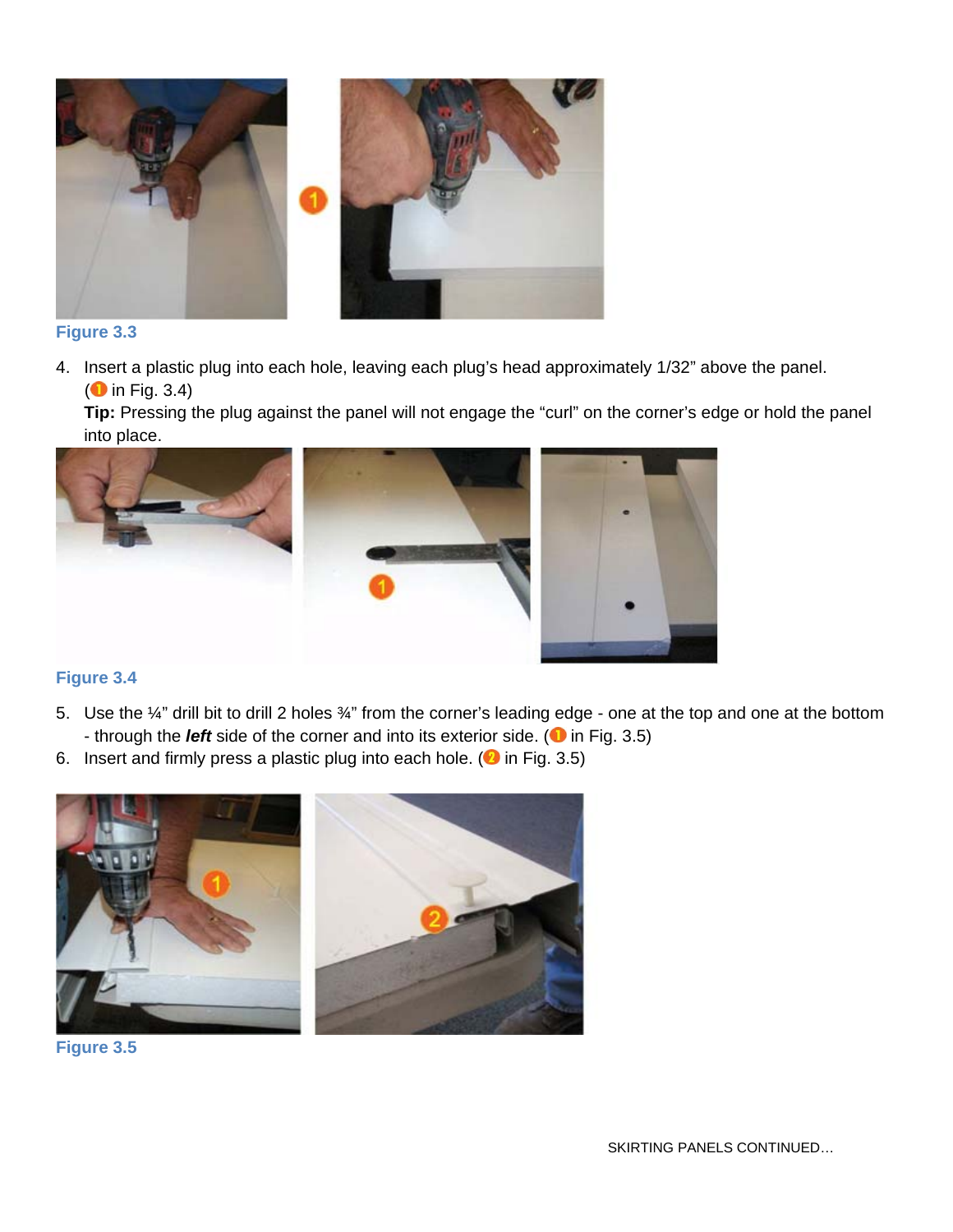

#### **Figure 3.3**

4. Insert a plastic plug into each hole, leaving each plug's head approximately 1/32" above the panel.  $\left($  in Fig. 3.4)

**Tip:** Pressing the plug against the panel will not engage the "curl" on the corner's edge or hold the panel into place.



#### **Figure 3.4**

- 5. Use the ¼" drill bit to drill 2 holes ¼" from the corner's leading edge one at the top and one at the bottom - through the *left* side of the corner and into its exterior side. ( $\bullet$  in Fig. 3.5)
- 
- 6. Insert and firmly press a plastic plug into each hole. ( $\bullet$  in Fig. 3.5)



**Figure 3.5**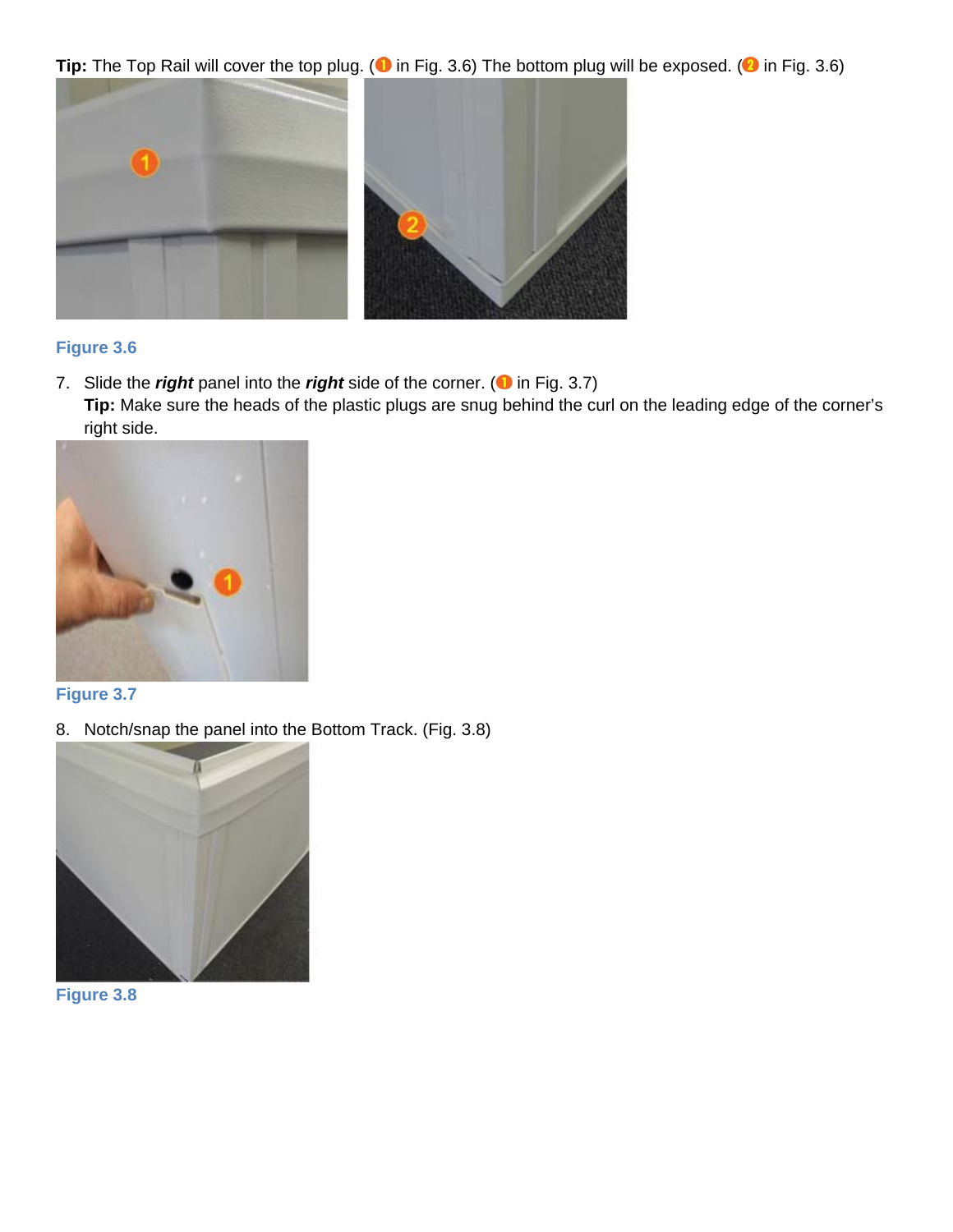**Tip:** The Top Rail will cover the top plug. ( $\bullet$  in Fig. 3.6) The bottom plug will be exposed. ( $\bullet$  in Fig. 3.6)



#### **Figure 3.6**

7. Slide the *right* panel into the *right* side of the corner. (**1** in Fig. 3.7)

**Tip:** Make sure the heads of the plastic plugs are snug behind the curl on the leading edge of the corner's right side.



#### **Figure 3.7**

8. Notch/snap the panel into the Bottom Track. (Fig. 3.8)



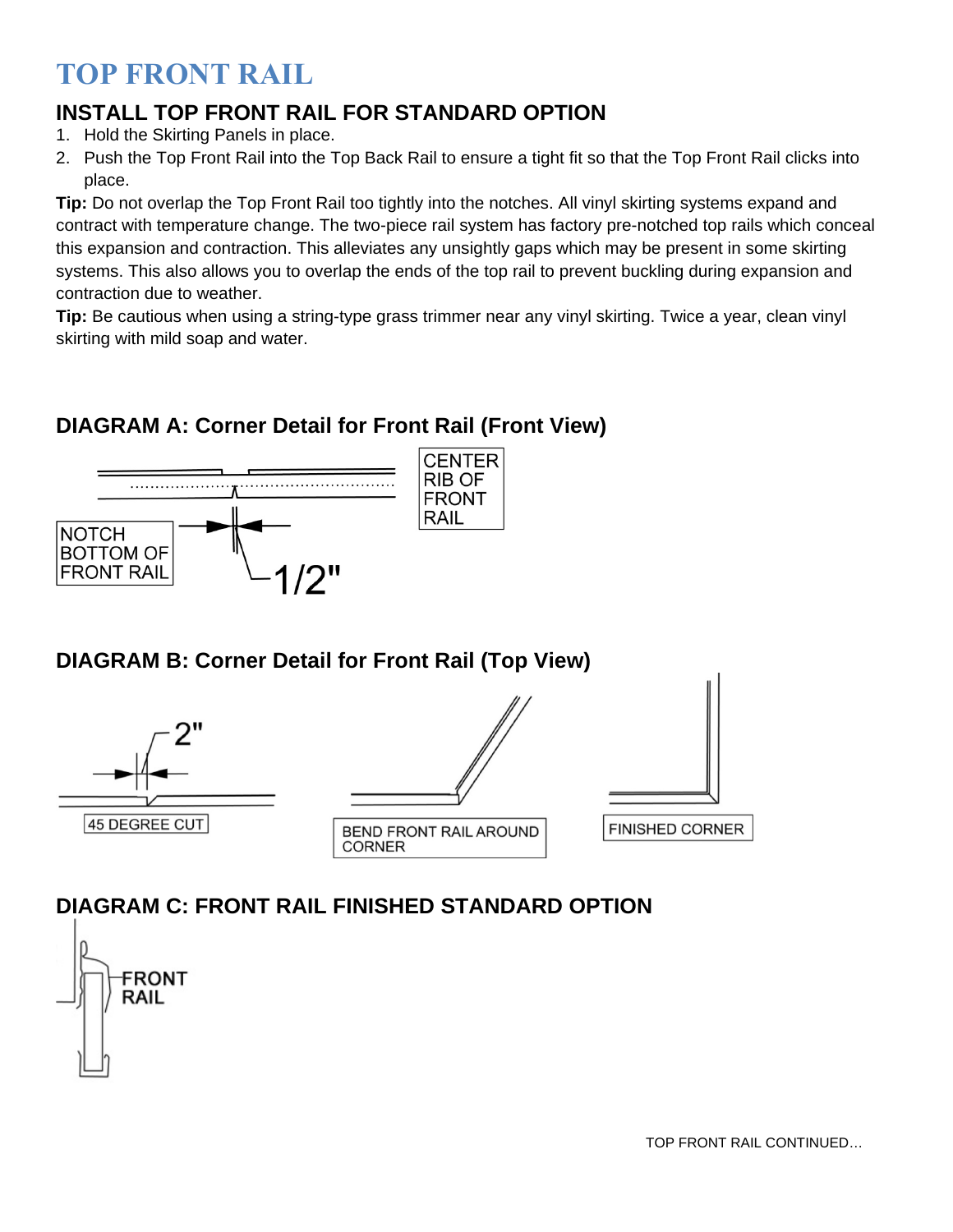## **TOP FRONT RAIL**

### **INSTALL TOP FRONT RAIL FOR STANDARD OPTION**

- 1. Hold the Skirting Panels in place.
- 2. Push the Top Front Rail into the Top Back Rail to ensure a tight fit so that the Top Front Rail clicks into place.

**Tip:** Do not overlap the Top Front Rail too tightly into the notches. All vinyl skirting systems expand and contract with temperature change. The two-piece rail system has factory pre-notched top rails which conceal this expansion and contraction. This alleviates any unsightly gaps which may be present in some skirting systems. This also allows you to overlap the ends of the top rail to prevent buckling during expansion and contraction due to weather.

**Tip:** Be cautious when using a string-type grass trimmer near any vinyl skirting. Twice a year, clean vinyl skirting with mild soap and water.

### **DIAGRAM A: Corner Detail for Front Rail (Front View)**



#### **DIAGRAM B: Corner Detail for Front Rail (Top View)**



### **DIAGRAM C: FRONT RAIL FINISHED STANDARD OPTION**